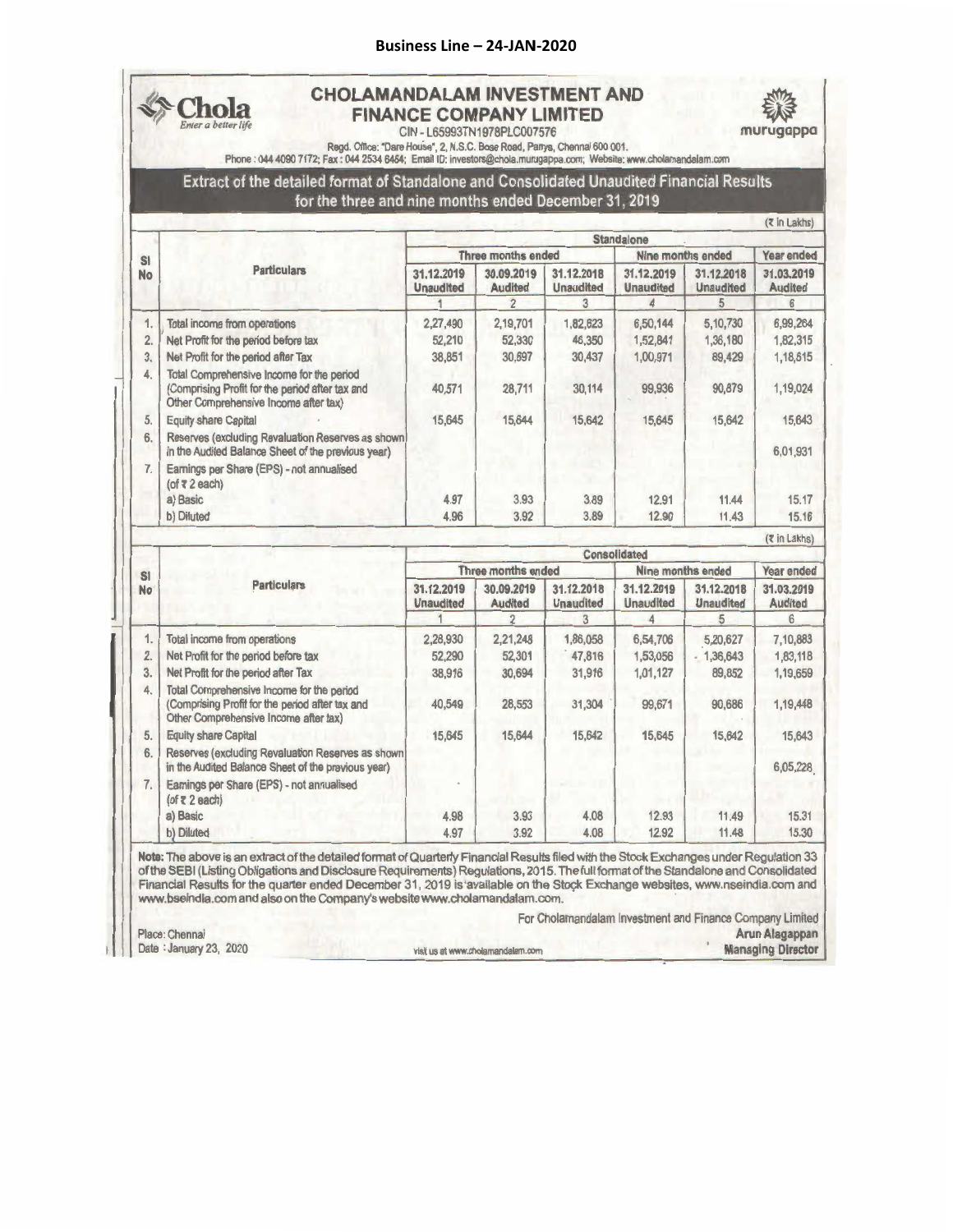## **Business Line – 24‐JAN‐2020**



## **CHOLAMANDALAMINVESTMENTAND FINANCE COMPANY LIMITED**

CIN - L65993TN1978PLC007576



**murugappa** •

Regd. Office: "Dare House", 2, N.S.C. Bose Road, Parrys, Chennai 600 001.<br>Phone : 044 4090 7172; Fax : 044 2534 6464; Email ID: investors@chola.murugappa.com; Website: www.cholamandalam.com

Extract of the detailed format of Standalone and Consolidated Unaudited Financial Results for the three and nine months ended December 31, 2019

|                 | <b>Particulars</b>                                                                                                                    | <b>Standalone</b>              |                              |                                |                                |                                |                              |  |
|-----------------|---------------------------------------------------------------------------------------------------------------------------------------|--------------------------------|------------------------------|--------------------------------|--------------------------------|--------------------------------|------------------------------|--|
| SI<br><b>No</b> |                                                                                                                                       | Three months ended             |                              |                                | Nine months ended              |                                | Year ended                   |  |
|                 |                                                                                                                                       | 31.12.2019<br><b>Unaudited</b> | 30.09.2019<br><b>Audited</b> | 31.12.2018<br><b>Unaudited</b> | 31.12.2019<br><b>Unaudited</b> | 31.12.2018<br><b>Unaudited</b> | 31.03.2019<br><b>Audited</b> |  |
|                 |                                                                                                                                       |                                |                              | 3                              | 4                              |                                | 6                            |  |
| 1.              | Total income from operations                                                                                                          | 2,27,490                       | 2,19,701                     | 1,82,623                       | 6,50,144                       | 5,10,730                       | 6,99,264                     |  |
| 2.              | Net Profit for the period before tax                                                                                                  | 52,210                         | 52,330                       | 46,350                         | 1,52,841                       | 1,36,180                       | 1,82,315                     |  |
| 3.              | Net Profit for the period after Tax                                                                                                   | 38,851                         | 30,697                       | 30,437                         | 1,00,971                       | 89,429                         | 1,18,615                     |  |
| 4.              | Total Comprehensive Income for the period<br>(Comprising Profit for the period after tax and<br>Other Comprehensive Income after tax) | 40,571                         | 28,711                       | 30,114                         | 99,936                         | 90,879                         | 1,19,024                     |  |
| 5.              | <b>Equity share Capital</b>                                                                                                           | 15,645                         | 15,644                       | 15,642                         | 15,645                         | 15,642                         | 15,643                       |  |
| 6.              | Reserves (excluding Revaluation Reserves as shown)<br>in the Audited Balance Sheet of the previous year)                              |                                |                              |                                |                                |                                | 6,01,931                     |  |
| 7.              | Earnings per Share (EPS) - not annualised<br>$($ of $\overline{x}$ 2 each)                                                            |                                |                              |                                |                                |                                |                              |  |
|                 | a) Basic                                                                                                                              | 4.97                           | 3.93                         | 3.89                           | 12.91                          | 11.44                          | 15.17                        |  |
|                 | b) Diluted                                                                                                                            | 4.96                           | 3.92                         | 3.89                           | 12.90                          | 11.43                          | 15.16                        |  |

|                | <b>Particulars</b>                                                                                                                    | Consolidated                   |                              |                                     |                                     |                                     |                                   |
|----------------|---------------------------------------------------------------------------------------------------------------------------------------|--------------------------------|------------------------------|-------------------------------------|-------------------------------------|-------------------------------------|-----------------------------------|
| S1             |                                                                                                                                       | Three months ended             |                              |                                     | Nine months ended                   |                                     | Year ended                        |
| <b>No</b>      |                                                                                                                                       | 31.12.2019<br><b>Unaudited</b> | 30.09.2019<br><b>Audited</b> | 31.12.2018<br><b>Unaudited</b><br>3 | 31.12.2019<br><b>Unaudited</b><br>Δ | 31.12.2018<br><b>Unaudited</b><br>5 | 31.03.2019<br><b>Audited</b><br>6 |
|                |                                                                                                                                       |                                | $\overline{2}$               |                                     |                                     |                                     |                                   |
| 1.             | Total income from operations                                                                                                          | 2,28,930                       | 2,21,248                     | 1,86,058                            | 6,54,706                            | 5,20,627                            | 7,10,883                          |
| $\overline{2}$ | Net Profit for the period before tax                                                                                                  | 52,290                         | 52,301                       | 47,816                              | 1,53,056                            | $-1,36,643$                         | 1,83,118                          |
| 3.             | Net Profit for the period after Tax                                                                                                   | 38,916                         | 30,694                       | 31,916                              | 1,01,127                            | 89,852                              | 1,19,659                          |
| 4.             | Total Comprehensive Income for the period<br>(Comprising Profit for the period after tax and<br>Other Comprehensive Income after tax) | 40,549                         | 28,553                       | 31.304                              | 99,671                              | 90,686                              | 1,19,448                          |
| 5.             | <b>Equity share Capital</b>                                                                                                           | 15,645                         | 15,644                       | 15,642                              | 15,645                              | 15,642                              | 15,643                            |
| 6.             | Reserves (excluding Revaluation Reserves as shown)<br>in the Audited Balance Sheet of the previous year)                              |                                |                              |                                     |                                     |                                     | 6,05,228                          |
|                | Earnings per Share (EPS) - not annualised<br>$($ of $\overline{\epsilon}$ 2 each)                                                     |                                |                              |                                     |                                     |                                     |                                   |
|                | a) Basic                                                                                                                              | 4.98                           | 3.93                         | 4.08                                | 12.93                               | 11.49                               | 15.31                             |
|                | b) Diluted                                                                                                                            | 4.97                           | 3.92                         | 4.08                                | 12.92                               | 11.48                               | 15.30                             |

J